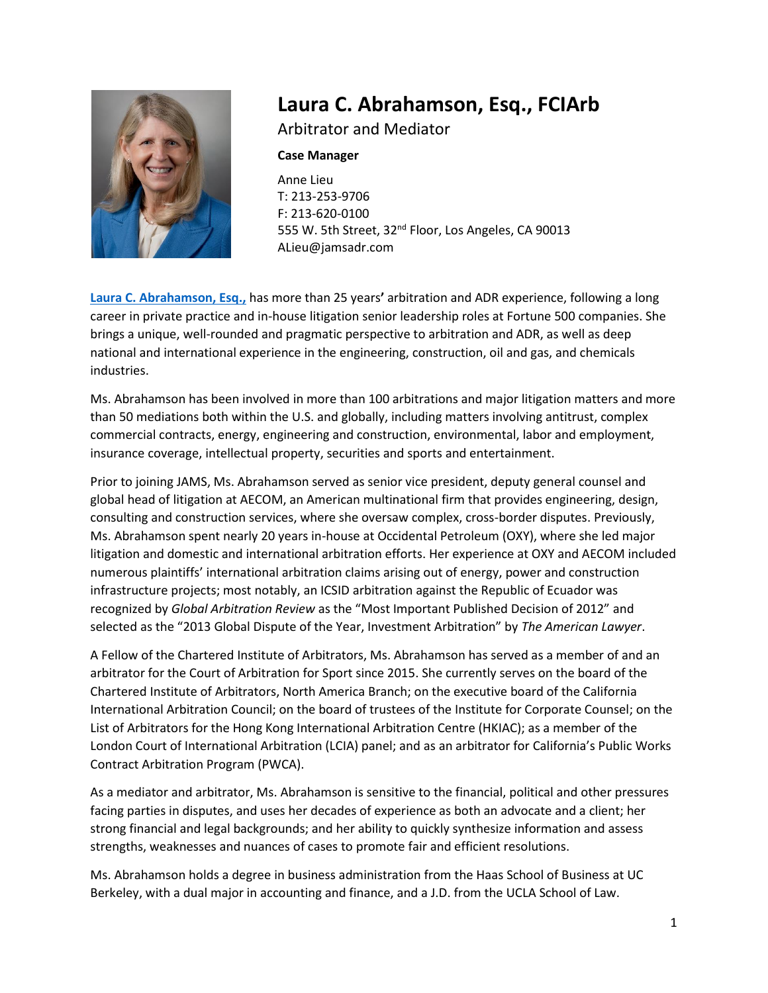

# **Laura C. Abrahamson, Esq., FCIArb**

Arbitrator and Mediator

#### **Case Manager**

Anne Lieu T: 213-253-9706 F: 213-620-0100 555 W. 5th Street, 32<sup>nd</sup> Floor, Los Angeles, CA 90013 ALieu@jamsadr.com

**[Laura C. Abrahamson, Esq.,](https://www.jamsadr.com/abrahamson/)** has more than 25 years**'** arbitration and ADR experience, following a long career in private practice and in-house litigation senior leadership roles at Fortune 500 companies. She brings a unique, well-rounded and pragmatic perspective to arbitration and ADR, as well as deep national and international experience in the engineering, construction, oil and gas, and chemicals industries.

Ms. Abrahamson has been involved in more than 100 arbitrations and major litigation matters and more than 50 mediations both within the U.S. and globally, including matters involving antitrust, complex commercial contracts, energy, engineering and construction, environmental, labor and employment, insurance coverage, intellectual property, securities and sports and entertainment.

Prior to joining JAMS, Ms. Abrahamson served as senior vice president, deputy general counsel and global head of litigation at AECOM, an American multinational firm that provides engineering, design, consulting and construction services, where she oversaw complex, cross-border disputes. Previously, Ms. Abrahamson spent nearly 20 years in-house at Occidental Petroleum (OXY), where she led major litigation and domestic and international arbitration efforts. Her experience at OXY and AECOM included numerous plaintiffs' international arbitration claims arising out of energy, power and construction infrastructure projects; most notably, an ICSID arbitration against the Republic of Ecuador was recognized by *Global Arbitration Review* as the "Most Important Published Decision of 2012" and selected as the "2013 Global Dispute of the Year, Investment Arbitration" by *The American Lawyer*.

A Fellow of the Chartered Institute of Arbitrators, Ms. Abrahamson has served as a member of and an arbitrator for the Court of Arbitration for Sport since 2015. She currently serves on the board of the Chartered Institute of Arbitrators, North America Branch; on the executive board of the California International Arbitration Council; on the board of trustees of the Institute for Corporate Counsel; on the List of Arbitrators for the Hong Kong International Arbitration Centre (HKIAC); as a member of the London Court of International Arbitration (LCIA) panel; and as an arbitrator for California's Public Works Contract Arbitration Program (PWCA).

As a mediator and arbitrator, Ms. Abrahamson is sensitive to the financial, political and other pressures facing parties in disputes, and uses her decades of experience as both an advocate and a client; her strong financial and legal backgrounds; and her ability to quickly synthesize information and assess strengths, weaknesses and nuances of cases to promote fair and efficient resolutions.

Ms. Abrahamson holds a degree in business administration from the Haas School of Business at UC Berkeley, with a dual major in accounting and finance, and a J.D. from the UCLA School of Law.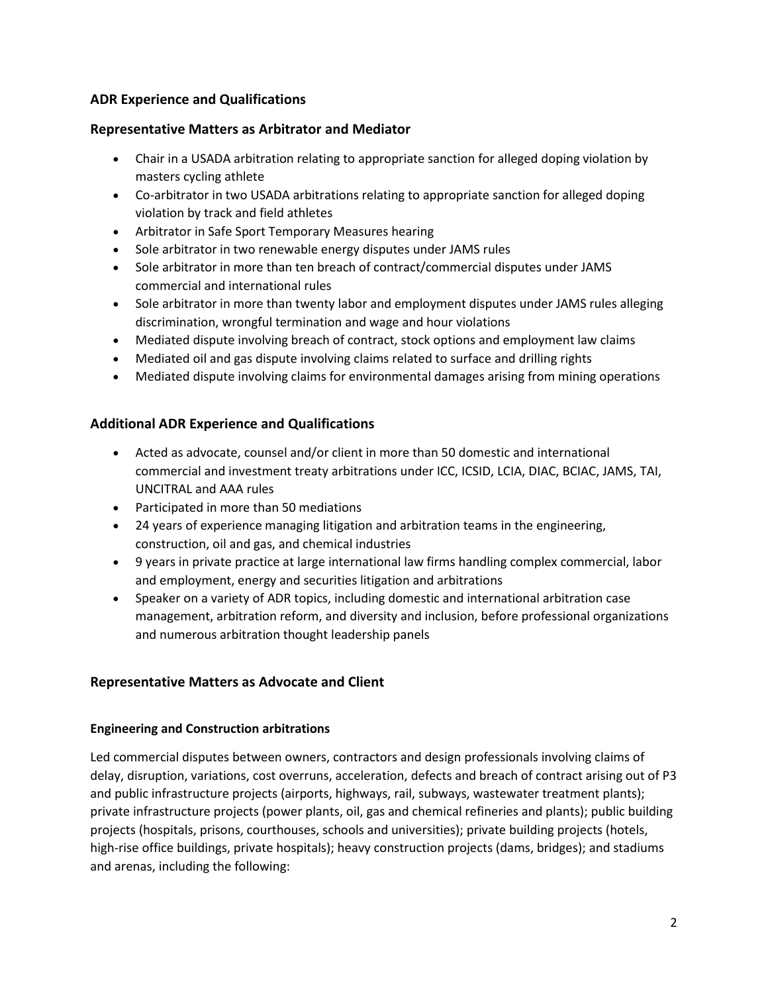## **ADR Experience and Qualifications**

#### **Representative Matters as Arbitrator and Mediator**

- Chair in a USADA arbitration relating to appropriate sanction for alleged doping violation by masters cycling athlete
- Co-arbitrator in two USADA arbitrations relating to appropriate sanction for alleged doping violation by track and field athletes
- Arbitrator in Safe Sport Temporary Measures hearing
- Sole arbitrator in two renewable energy disputes under JAMS rules
- Sole arbitrator in more than ten breach of contract/commercial disputes under JAMS commercial and international rules
- Sole arbitrator in more than twenty labor and employment disputes under JAMS rules alleging discrimination, wrongful termination and wage and hour violations
- Mediated dispute involving breach of contract, stock options and employment law claims
- Mediated oil and gas dispute involving claims related to surface and drilling rights
- Mediated dispute involving claims for environmental damages arising from mining operations

## **Additional ADR Experience and Qualifications**

- Acted as advocate, counsel and/or client in more than 50 domestic and international commercial and investment treaty arbitrations under ICC, ICSID, LCIA, DIAC, BCIAC, JAMS, TAI, UNCITRAL and AAA rules
- Participated in more than 50 mediations
- 24 years of experience managing litigation and arbitration teams in the engineering, construction, oil and gas, and chemical industries
- 9 years in private practice at large international law firms handling complex commercial, labor and employment, energy and securities litigation and arbitrations
- Speaker on a variety of ADR topics, including domestic and international arbitration case management, arbitration reform, and diversity and inclusion, before professional organizations and numerous arbitration thought leadership panels

## **Representative Matters as Advocate and Client**

#### **Engineering and Construction arbitrations**

Led commercial disputes between owners, contractors and design professionals involving claims of delay, disruption, variations, cost overruns, acceleration, defects and breach of contract arising out of P3 and public infrastructure projects (airports, highways, rail, subways, wastewater treatment plants); private infrastructure projects (power plants, oil, gas and chemical refineries and plants); public building projects (hospitals, prisons, courthouses, schools and universities); private building projects (hotels, high-rise office buildings, private hospitals); heavy construction projects (dams, bridges); and stadiums and arenas, including the following: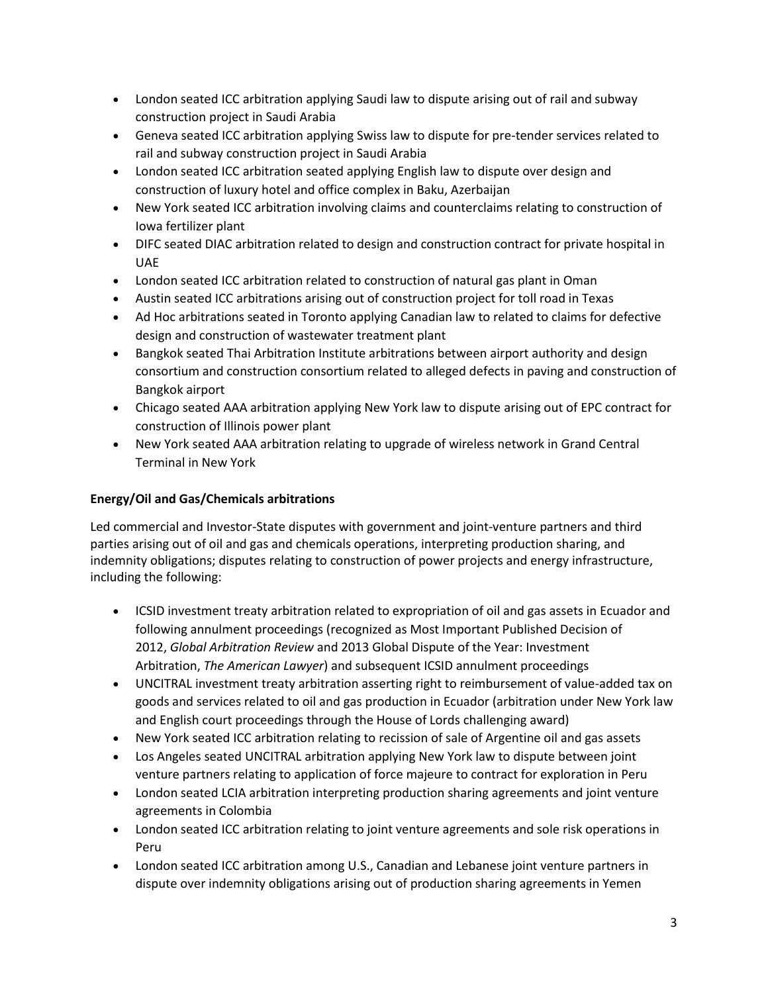- London seated ICC arbitration applying Saudi law to dispute arising out of rail and subway construction project in Saudi Arabia
- Geneva seated ICC arbitration applying Swiss law to dispute for pre-tender services related to rail and subway construction project in Saudi Arabia
- London seated ICC arbitration seated applying English law to dispute over design and construction of luxury hotel and office complex in Baku, Azerbaijan
- New York seated ICC arbitration involving claims and counterclaims relating to construction of Iowa fertilizer plant
- DIFC seated DIAC arbitration related to design and construction contract for private hospital in UAE
- London seated ICC arbitration related to construction of natural gas plant in Oman
- Austin seated ICC arbitrations arising out of construction project for toll road in Texas
- Ad Hoc arbitrations seated in Toronto applying Canadian law to related to claims for defective design and construction of wastewater treatment plant
- Bangkok seated Thai Arbitration Institute arbitrations between airport authority and design consortium and construction consortium related to alleged defects in paving and construction of Bangkok airport
- Chicago seated AAA arbitration applying New York law to dispute arising out of EPC contract for construction of Illinois power plant
- New York seated AAA arbitration relating to upgrade of wireless network in Grand Central Terminal in New York

## **Energy/Oil and Gas/Chemicals arbitrations**

Led commercial and Investor-State disputes with government and joint-venture partners and third parties arising out of oil and gas and chemicals operations, interpreting production sharing, and indemnity obligations; disputes relating to construction of power projects and energy infrastructure, including the following:

- ICSID investment treaty arbitration related to expropriation of oil and gas assets in Ecuador and following annulment proceedings (recognized as Most Important Published Decision of 2012, *Global Arbitration Review* and 2013 Global Dispute of the Year: Investment Arbitration, *The American Lawyer*) and subsequent ICSID annulment proceedings
- UNCITRAL investment treaty arbitration asserting right to reimbursement of value-added tax on goods and services related to oil and gas production in Ecuador (arbitration under New York law and English court proceedings through the House of Lords challenging award)
- New York seated ICC arbitration relating to recission of sale of Argentine oil and gas assets
- Los Angeles seated UNCITRAL arbitration applying New York law to dispute between joint venture partners relating to application of force majeure to contract for exploration in Peru
- London seated LCIA arbitration interpreting production sharing agreements and joint venture agreements in Colombia
- London seated ICC arbitration relating to joint venture agreements and sole risk operations in Peru
- London seated ICC arbitration among U.S., Canadian and Lebanese joint venture partners in dispute over indemnity obligations arising out of production sharing agreements in Yemen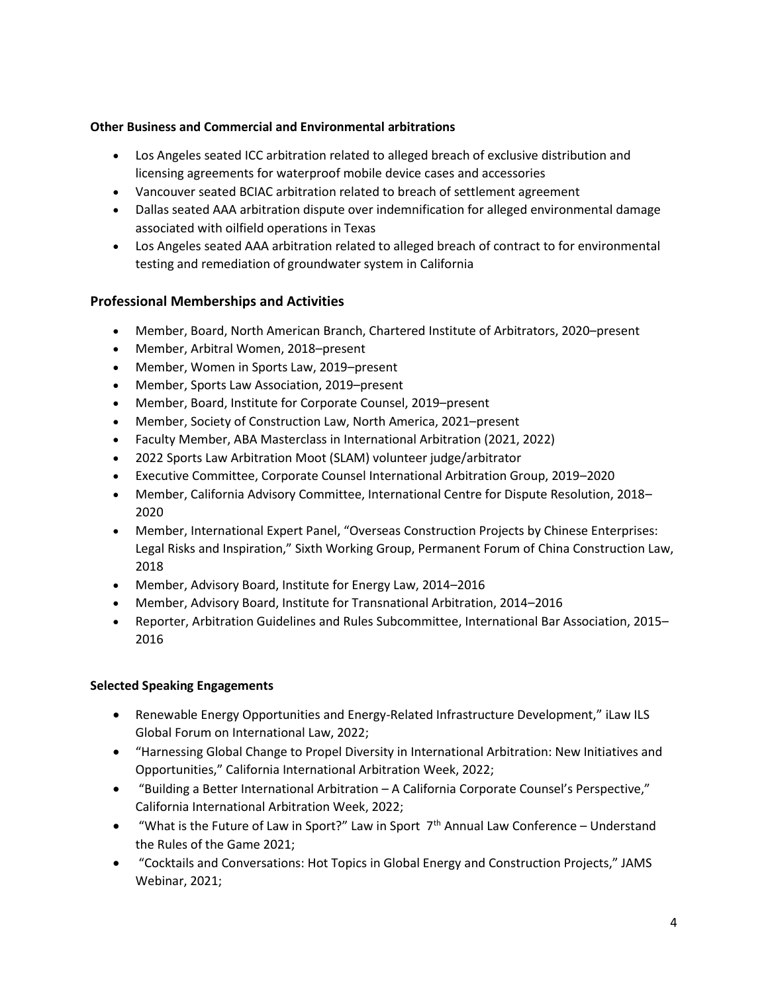#### **Other Business and Commercial and Environmental arbitrations**

- Los Angeles seated ICC arbitration related to alleged breach of exclusive distribution and licensing agreements for waterproof mobile device cases and accessories
- Vancouver seated BCIAC arbitration related to breach of settlement agreement
- Dallas seated AAA arbitration dispute over indemnification for alleged environmental damage associated with oilfield operations in Texas
- Los Angeles seated AAA arbitration related to alleged breach of contract to for environmental testing and remediation of groundwater system in California

## **Professional Memberships and Activities**

- Member, Board, North American Branch, Chartered Institute of Arbitrators, 2020–present
- Member, Arbitral Women, 2018–present
- Member, Women in Sports Law, 2019–present
- Member, Sports Law Association, 2019–present
- Member, Board, Institute for Corporate Counsel, 2019–present
- Member, Society of Construction Law, North America, 2021–present
- Faculty Member, ABA Masterclass in International Arbitration (2021, 2022)
- 2022 Sports Law Arbitration Moot (SLAM) volunteer judge/arbitrator
- Executive Committee, Corporate Counsel International Arbitration Group, 2019–2020
- Member, California Advisory Committee, International Centre for Dispute Resolution, 2018– 2020
- Member, International Expert Panel, "Overseas Construction Projects by Chinese Enterprises: Legal Risks and Inspiration," Sixth Working Group, Permanent Forum of China Construction Law, 2018
- Member, Advisory Board, Institute for Energy Law, 2014–2016
- Member, Advisory Board, Institute for Transnational Arbitration, 2014–2016
- Reporter, Arbitration Guidelines and Rules Subcommittee, International Bar Association, 2015– 2016

#### **Selected Speaking Engagements**

- Renewable Energy Opportunities and Energy-Related Infrastructure Development," iLaw ILS Global Forum on International Law, 2022;
- "Harnessing Global Change to Propel Diversity in International Arbitration: New Initiatives and Opportunities," California International Arbitration Week, 2022;
- "Building a Better International Arbitration A California Corporate Counsel's Perspective," California International Arbitration Week, 2022;
- "What is the Future of Law in Sport?" Law in Sport  $7<sup>th</sup>$  Annual Law Conference Understand the Rules of the Game 2021;
- "Cocktails and Conversations: Hot Topics in Global Energy and Construction Projects," JAMS Webinar, 2021;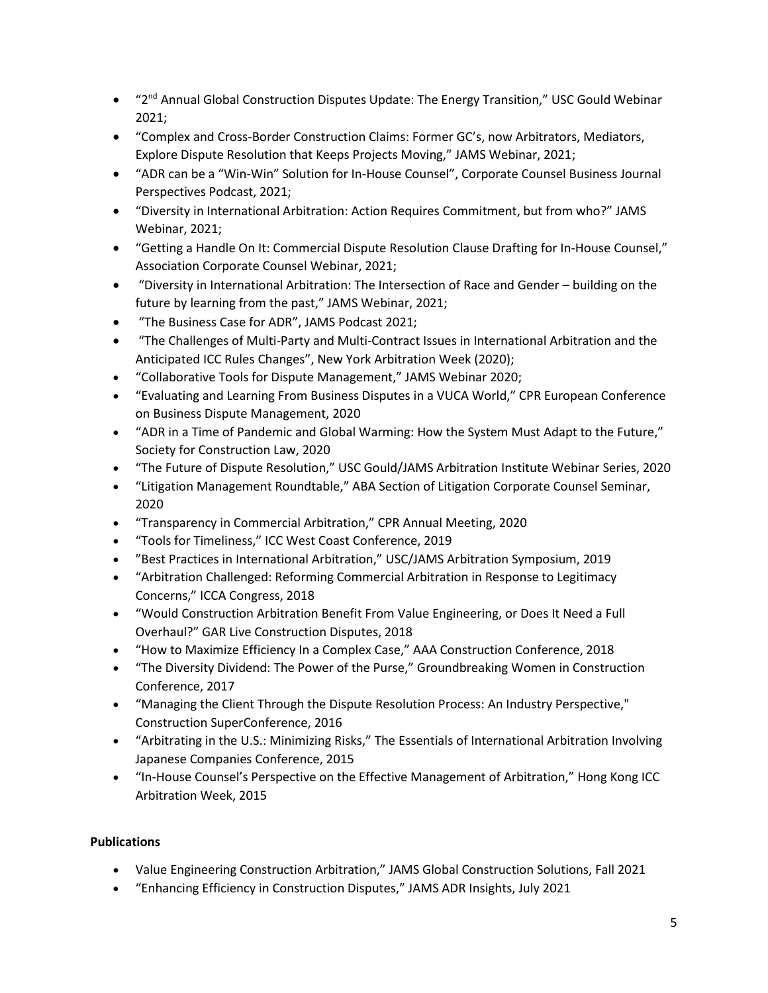- "2<sup>nd</sup> Annual Global Construction Disputes Update: The Energy Transition," USC Gould Webinar 2021;
- "Complex and Cross-Border Construction Claims: Former GC's, now Arbitrators, Mediators, Explore Dispute Resolution that Keeps Projects Moving," JAMS Webinar, 2021;
- "ADR can be a "Win-Win" Solution for In-House Counsel", Corporate Counsel Business Journal Perspectives Podcast, 2021;
- "Diversity in International Arbitration: Action Requires Commitment, but from who?" JAMS Webinar, 2021;
- "Getting a Handle On It: Commercial Dispute Resolution Clause Drafting for In-House Counsel," Association Corporate Counsel Webinar, 2021;
- "Diversity in International Arbitration: The Intersection of Race and Gender building on the future by learning from the past," JAMS Webinar, 2021;
- "The Business Case for ADR", JAMS Podcast 2021;
- "The Challenges of Multi-Party and Multi-Contract Issues in International Arbitration and the Anticipated ICC Rules Changes", New York Arbitration Week (2020);
- "Collaborative Tools for Dispute Management," JAMS Webinar 2020;
- "Evaluating and Learning From Business Disputes in a VUCA World," CPR European Conference on Business Dispute Management, 2020
- "ADR in a Time of Pandemic and Global Warming: How the System Must Adapt to the Future," Society for Construction Law, 2020
- "The Future of Dispute Resolution," USC Gould/JAMS Arbitration Institute Webinar Series, 2020
- "Litigation Management Roundtable," ABA Section of Litigation Corporate Counsel Seminar, 2020
- "Transparency in Commercial Arbitration," CPR Annual Meeting, 2020
- "Tools for Timeliness," ICC West Coast Conference, 2019
- "Best Practices in International Arbitration," USC/JAMS Arbitration Symposium, 2019
- "Arbitration Challenged: Reforming Commercial Arbitration in Response to Legitimacy Concerns," ICCA Congress, 2018
- "Would Construction Arbitration Benefit From Value Engineering, or Does It Need a Full Overhaul?" GAR Live Construction Disputes, 2018
- "How to Maximize Efficiency In a Complex Case," AAA Construction Conference, 2018
- "The Diversity Dividend: The Power of the Purse," Groundbreaking Women in Construction Conference, 2017
- "Managing the Client Through the Dispute Resolution Process: An Industry Perspective," Construction SuperConference, 2016
- "Arbitrating in the U.S.: Minimizing Risks," The Essentials of International Arbitration Involving Japanese Companies Conference, 2015
- "In-House Counsel's Perspective on the Effective Management of Arbitration," Hong Kong ICC Arbitration Week, 2015

# **Publications**

- Value Engineering Construction Arbitration," JAMS Global Construction Solutions, Fall 2021
- "Enhancing Efficiency in Construction Disputes," JAMS ADR Insights, July 2021